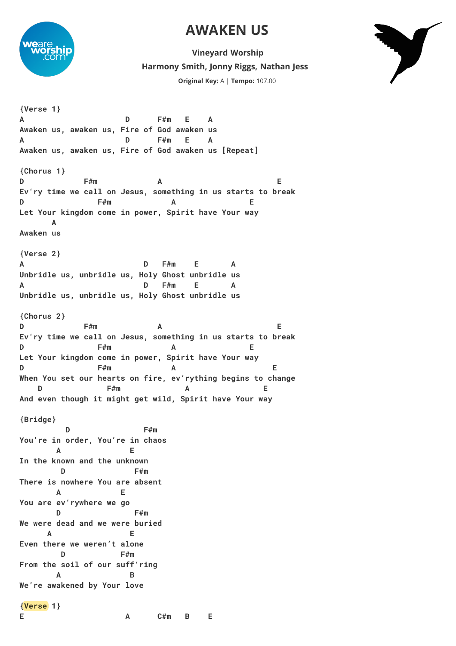## **AWAKEN US**



**Harmony Smith, Jonny Riggs, Nathan Jess Vineyard Worship Original Key:** A | **Tempo:** 107.00



**{Verse 1} A D F#m E A Awaken us, awaken us, Fire of God awaken us A D F#m E A Awaken us, awaken us, Fire of God awaken us [Repeat] {Chorus 1} D F#m A E Ev'ry time we call on Jesus, something in us starts to break D F#m A E Let Your kingdom come in power, Spirit have Your way A Awaken us {Verse 2} A D F#m E A Unbridle us, unbridle us, Holy Ghost unbridle us A D F#m E A Unbridle us, unbridle us, Holy Ghost unbridle us {Chorus 2} D F#m A E Ev'ry time we call on Jesus, something in us starts to break D F#m A E Let Your kingdom come in power, Spirit have Your way D F#m A E When You set our hearts on fire, ev'rything begins to change D F#m A E And even though it might get wild, Spirit have Your way {Bridge} D F#m You're in order, You're in chaos A E In the known and the unknown D F#m There is nowhere You are absent A E You are ev'rywhere we go D F#m We were dead and we were buried A E Even there we weren't alone D F#m From the soil of our suff'ring A B We're awakened by Your love {Verse 1} E A C#m B E**